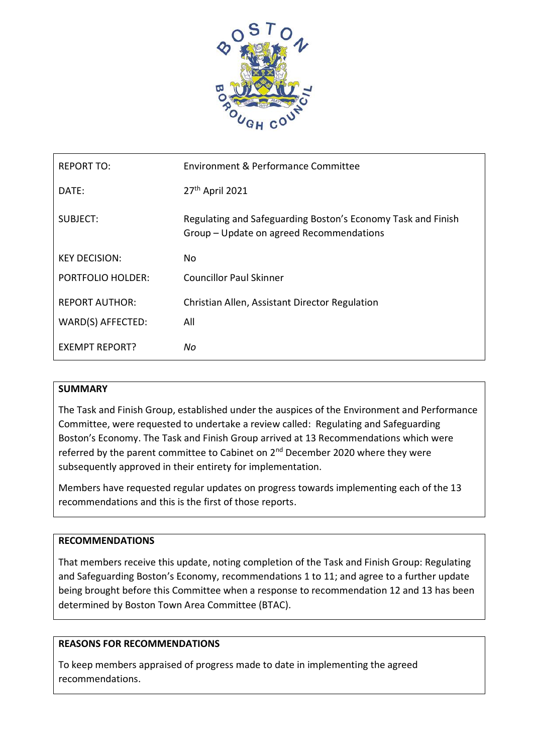

| <b>REPORT TO:</b>        | Environment & Performance Committee                                                                      |
|--------------------------|----------------------------------------------------------------------------------------------------------|
| DATE:                    | 27 <sup>th</sup> April 2021                                                                              |
| SUBJECT:                 | Regulating and Safeguarding Boston's Economy Task and Finish<br>Group – Update on agreed Recommendations |
| <b>KEY DECISION:</b>     | No.                                                                                                      |
| <b>PORTFOLIO HOLDER:</b> | <b>Councillor Paul Skinner</b>                                                                           |
| <b>REPORT AUTHOR:</b>    | Christian Allen, Assistant Director Regulation                                                           |
| WARD(S) AFFECTED:        | All                                                                                                      |
| <b>EXEMPT REPORT?</b>    | Νo                                                                                                       |

#### **SUMMARY**

The Task and Finish Group, established under the auspices of the Environment and Performance Committee, were requested to undertake a review called: Regulating and Safeguarding Boston's Economy. The Task and Finish Group arrived at 13 Recommendations which were referred by the parent committee to Cabinet on 2<sup>nd</sup> December 2020 where they were subsequently approved in their entirety for implementation.

Members have requested regular updates on progress towards implementing each of the 13 recommendations and this is the first of those reports.

#### **RECOMMENDATIONS**

That members receive this update, noting completion of the Task and Finish Group: Regulating and Safeguarding Boston's Economy, recommendations 1 to 11; and agree to a further update being brought before this Committee when a response to recommendation 12 and 13 has been determined by Boston Town Area Committee (BTAC).

## **REASONS FOR RECOMMENDATIONS**

To keep members appraised of progress made to date in implementing the agreed recommendations.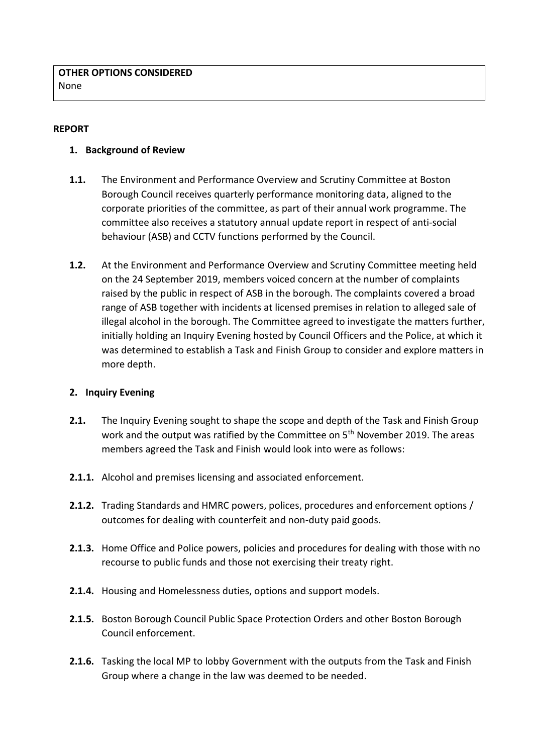## **REPORT**

### **1. Background of Review**

- **1.1.** The Environment and Performance Overview and Scrutiny Committee at Boston Borough Council receives quarterly performance monitoring data, aligned to the corporate priorities of the committee, as part of their annual work programme. The committee also receives a statutory annual update report in respect of anti-social behaviour (ASB) and CCTV functions performed by the Council.
- **1.2.** At the Environment and Performance Overview and Scrutiny Committee meeting held on the 24 September 2019, members voiced concern at the number of complaints raised by the public in respect of ASB in the borough. The complaints covered a broad range of ASB together with incidents at licensed premises in relation to alleged sale of illegal alcohol in the borough. The Committee agreed to investigate the matters further, initially holding an Inquiry Evening hosted by Council Officers and the Police, at which it was determined to establish a Task and Finish Group to consider and explore matters in more depth.

## **2. Inquiry Evening**

- **2.1.** The Inquiry Evening sought to shape the scope and depth of the Task and Finish Group work and the output was ratified by the Committee on 5<sup>th</sup> November 2019. The areas members agreed the Task and Finish would look into were as follows:
- **2.1.1.** Alcohol and premises licensing and associated enforcement.
- **2.1.2.** Trading Standards and HMRC powers, polices, procedures and enforcement options / outcomes for dealing with counterfeit and non-duty paid goods.
- **2.1.3.** Home Office and Police powers, policies and procedures for dealing with those with no recourse to public funds and those not exercising their treaty right.
- **2.1.4.** Housing and Homelessness duties, options and support models.
- **2.1.5.** Boston Borough Council Public Space Protection Orders and other Boston Borough Council enforcement.
- **2.1.6.** Tasking the local MP to lobby Government with the outputs from the Task and Finish Group where a change in the law was deemed to be needed.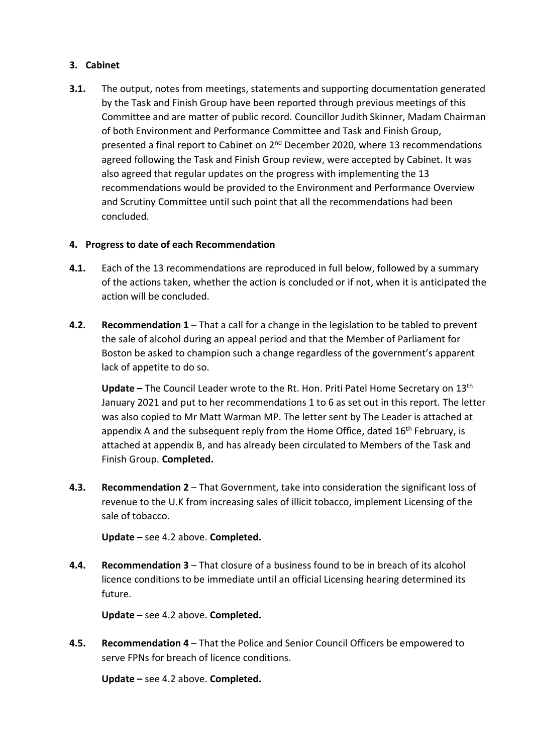## **3. Cabinet**

**3.1.** The output, notes from meetings, statements and supporting documentation generated by the Task and Finish Group have been reported through previous meetings of this Committee and are matter of public record. Councillor Judith Skinner, Madam Chairman of both Environment and Performance Committee and Task and Finish Group, presented a final report to Cabinet on 2<sup>nd</sup> December 2020, where 13 recommendations agreed following the Task and Finish Group review, were accepted by Cabinet. It was also agreed that regular updates on the progress with implementing the 13 recommendations would be provided to the Environment and Performance Overview and Scrutiny Committee until such point that all the recommendations had been concluded.

### **4. Progress to date of each Recommendation**

- **4.1.** Each of the 13 recommendations are reproduced in full below, followed by a summary of the actions taken, whether the action is concluded or if not, when it is anticipated the action will be concluded.
- **4.2. Recommendation 1** That a call for a change in the legislation to be tabled to prevent the sale of alcohol during an appeal period and that the Member of Parliament for Boston be asked to champion such a change regardless of the government's apparent lack of appetite to do so.

**Update –** The Council Leader wrote to the Rt. Hon. Priti Patel Home Secretary on 13th January 2021 and put to her recommendations 1 to 6 as set out in this report. The letter was also copied to Mr Matt Warman MP. The letter sent by The Leader is attached at appendix A and the subsequent reply from the Home Office, dated  $16<sup>th</sup>$  February, is attached at appendix B, and has already been circulated to Members of the Task and Finish Group. **Completed.**

**4.3. Recommendation 2** – That Government, take into consideration the significant loss of revenue to the U.K from increasing sales of illicit tobacco, implement Licensing of the sale of tobacco.

**Update –** see 4.2 above. **Completed.**

**4.4. Recommendation 3** – That closure of a business found to be in breach of its alcohol licence conditions to be immediate until an official Licensing hearing determined its future.

**Update –** see 4.2 above. **Completed.**

**4.5. Recommendation 4** – That the Police and Senior Council Officers be empowered to serve FPNs for breach of licence conditions.

**Update –** see 4.2 above. **Completed.**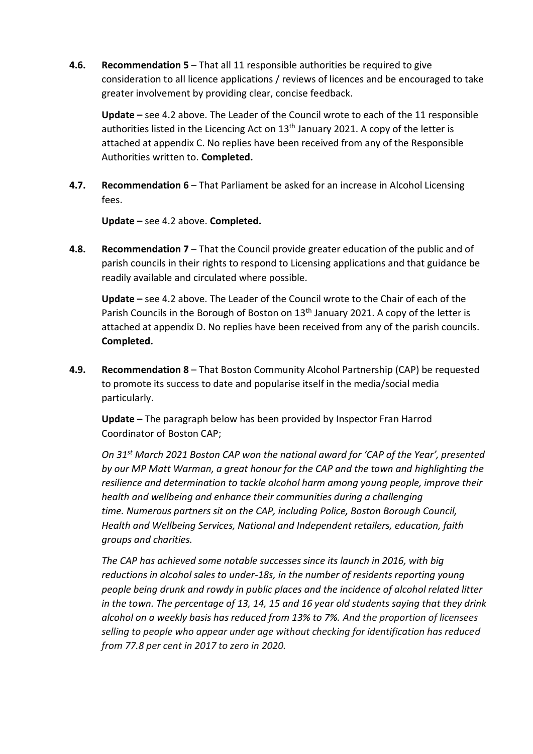**4.6. Recommendation 5** – That all 11 responsible authorities be required to give consideration to all licence applications / reviews of licences and be encouraged to take greater involvement by providing clear, concise feedback.

**Update –** see 4.2 above. The Leader of the Council wrote to each of the 11 responsible authorities listed in the Licencing Act on  $13<sup>th</sup>$  January 2021. A copy of the letter is attached at appendix C. No replies have been received from any of the Responsible Authorities written to. **Completed.**

**4.7. Recommendation 6** – That Parliament be asked for an increase in Alcohol Licensing fees.

**Update –** see 4.2 above. **Completed.**

**4.8. Recommendation 7** – That the Council provide greater education of the public and of parish councils in their rights to respond to Licensing applications and that guidance be readily available and circulated where possible.

**Update –** see 4.2 above. The Leader of the Council wrote to the Chair of each of the Parish Councils in the Borough of Boston on 13<sup>th</sup> January 2021. A copy of the letter is attached at appendix D. No replies have been received from any of the parish councils. **Completed.**

**4.9. Recommendation 8** – That Boston Community Alcohol Partnership (CAP) be requested to promote its success to date and popularise itself in the media/social media particularly.

**Update –** The paragraph below has been provided by Inspector Fran Harrod Coordinator of Boston CAP;

*On 31st March 2021 Boston CAP won the national award for 'CAP of the Year', presented by our MP Matt Warman, a great honour for the CAP and the town and highlighting the resilience and determination to tackle alcohol harm among young people, improve their health and wellbeing and enhance their communities during a challenging time. Numerous partners sit on the CAP, including Police, Boston Borough Council, Health and Wellbeing Services, National and Independent retailers, education, faith groups and charities.*

*The CAP has achieved some notable successes since its launch in 2016, with big reductions in alcohol sales to under-18s, in the number of residents reporting young people being drunk and rowdy in public places and the incidence of alcohol related litter in the town. The percentage of 13, 14, 15 and 16 year old students saying that they drink alcohol on a weekly basis has reduced from 13% to 7%. And the proportion of licensees selling to people who appear under age without checking for identification has reduced from 77.8 per cent in 2017 to zero in 2020.*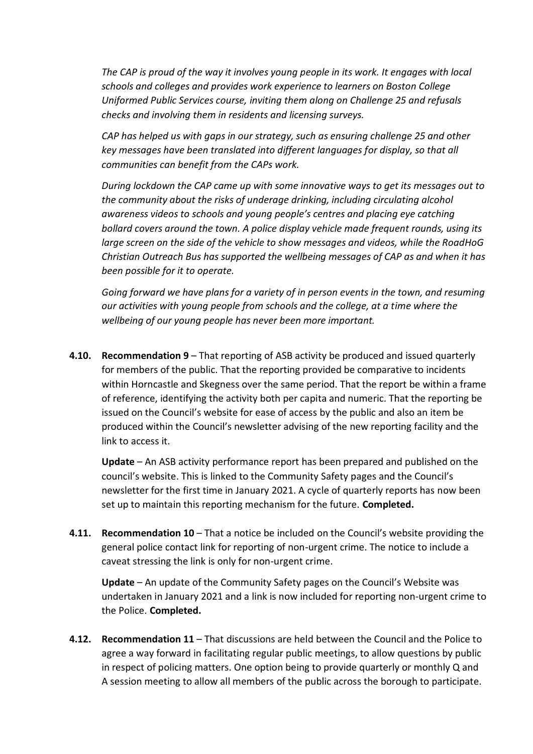*The CAP is proud of the way it involves young people in its work. It engages with local schools and colleges and provides work experience to learners on Boston College Uniformed Public Services course, inviting them along on Challenge 25 and refusals checks and involving them in residents and licensing surveys.*

*CAP has helped us with gaps in our strategy, such as ensuring challenge 25 and other key messages have been translated into different languages for display, so that all communities can benefit from the CAPs work.* 

*During lockdown the CAP came up with some innovative ways to get its messages out to the community about the risks of underage drinking, including circulating alcohol awareness videos to schools and young people's centres and placing eye catching bollard covers around the town. A police display vehicle made frequent rounds, using its large screen on the side of the vehicle to show messages and videos, while the RoadHoG Christian Outreach Bus has supported the wellbeing messages of CAP as and when it has been possible for it to operate.*

*Going forward we have plans for a variety of in person events in the town, and resuming our activities with young people from schools and the college, at a time where the wellbeing of our young people has never been more important.*

**4.10. Recommendation 9** – That reporting of ASB activity be produced and issued quarterly for members of the public. That the reporting provided be comparative to incidents within Horncastle and Skegness over the same period. That the report be within a frame of reference, identifying the activity both per capita and numeric. That the reporting be issued on the Council's website for ease of access by the public and also an item be produced within the Council's newsletter advising of the new reporting facility and the link to access it.

**Update** – An ASB activity performance report has been prepared and published on the council's website. This is linked to the Community Safety pages and the Council's newsletter for the first time in January 2021. A cycle of quarterly reports has now been set up to maintain this reporting mechanism for the future. **Completed.**

**4.11. Recommendation 10** – That a notice be included on the Council's website providing the general police contact link for reporting of non-urgent crime. The notice to include a caveat stressing the link is only for non-urgent crime.

**Update** – An update of the Community Safety pages on the Council's Website was undertaken in January 2021 and a link is now included for reporting non-urgent crime to the Police. **Completed.**

**4.12. Recommendation 11** – That discussions are held between the Council and the Police to agree a way forward in facilitating regular public meetings, to allow questions by public in respect of policing matters. One option being to provide quarterly or monthly Q and A session meeting to allow all members of the public across the borough to participate.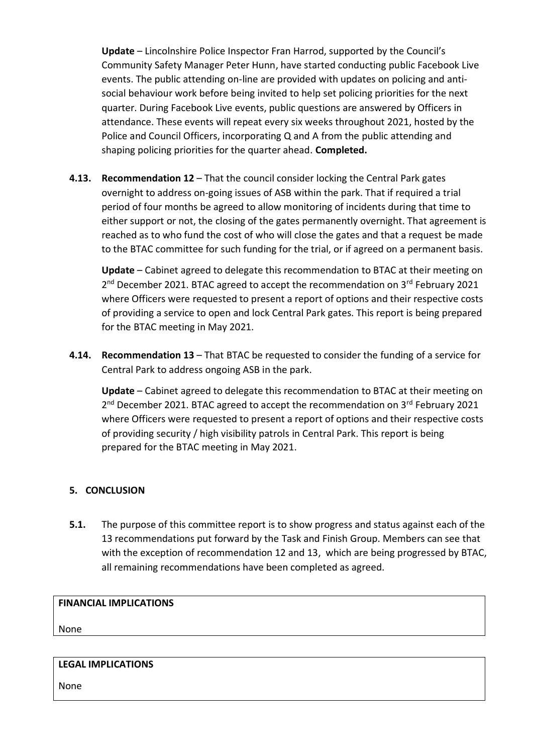**Update** – Lincolnshire Police Inspector Fran Harrod, supported by the Council's Community Safety Manager Peter Hunn, have started conducting public Facebook Live events. The public attending on-line are provided with updates on policing and antisocial behaviour work before being invited to help set policing priorities for the next quarter. During Facebook Live events, public questions are answered by Officers in attendance. These events will repeat every six weeks throughout 2021, hosted by the Police and Council Officers, incorporating Q and A from the public attending and shaping policing priorities for the quarter ahead. **Completed.**

**4.13. Recommendation 12** – That the council consider locking the Central Park gates overnight to address on-going issues of ASB within the park. That if required a trial period of four months be agreed to allow monitoring of incidents during that time to either support or not, the closing of the gates permanently overnight. That agreement is reached as to who fund the cost of who will close the gates and that a request be made to the BTAC committee for such funding for the trial, or if agreed on a permanent basis.

**Update** – Cabinet agreed to delegate this recommendation to BTAC at their meeting on 2<sup>nd</sup> December 2021. BTAC agreed to accept the recommendation on 3<sup>rd</sup> February 2021 where Officers were requested to present a report of options and their respective costs of providing a service to open and lock Central Park gates. This report is being prepared for the BTAC meeting in May 2021.

**4.14. Recommendation 13** – That BTAC be requested to consider the funding of a service for Central Park to address ongoing ASB in the park.

**Update** – Cabinet agreed to delegate this recommendation to BTAC at their meeting on 2<sup>nd</sup> December 2021. BTAC agreed to accept the recommendation on 3<sup>rd</sup> February 2021 where Officers were requested to present a report of options and their respective costs of providing security / high visibility patrols in Central Park. This report is being prepared for the BTAC meeting in May 2021.

## **5. CONCLUSION**

**5.1.** The purpose of this committee report is to show progress and status against each of the 13 recommendations put forward by the Task and Finish Group. Members can see that with the exception of recommendation 12 and 13, which are being progressed by BTAC, all remaining recommendations have been completed as agreed.

### **FINANCIAL IMPLICATIONS**

None

## **LEGAL IMPLICATIONS**

None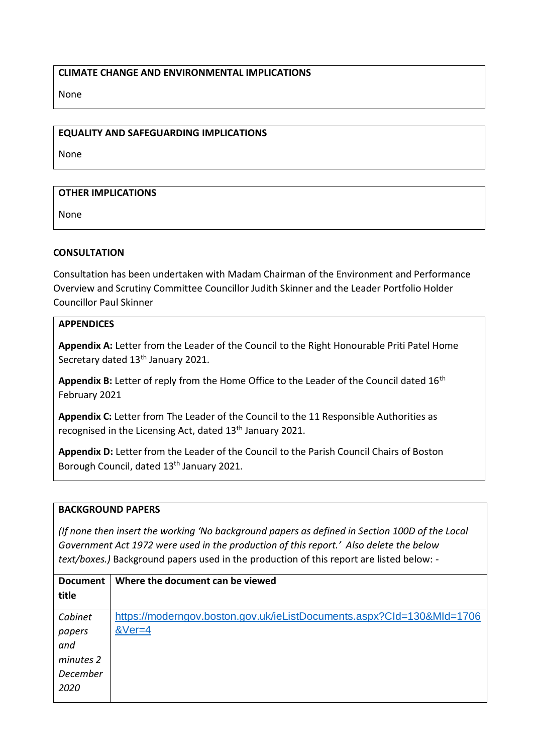### **CLIMATE CHANGE AND ENVIRONMENTAL IMPLICATIONS**

None

#### **EQUALITY AND SAFEGUARDING IMPLICATIONS**

None

### **OTHER IMPLICATIONS**

None

### **CONSULTATION**

Consultation has been undertaken with Madam Chairman of the Environment and Performance Overview and Scrutiny Committee Councillor Judith Skinner and the Leader Portfolio Holder Councillor Paul Skinner

### **APPENDICES**

**Appendix A:** Letter from the Leader of the Council to the Right Honourable Priti Patel Home Secretary dated 13<sup>th</sup> January 2021.

Appendix B: Letter of reply from the Home Office to the Leader of the Council dated 16<sup>th</sup> February 2021

**Appendix C:** Letter from The Leader of the Council to the 11 Responsible Authorities as recognised in the Licensing Act, dated 13<sup>th</sup> January 2021.

**Appendix D:** Letter from the Leader of the Council to the Parish Council Chairs of Boston Borough Council, dated 13<sup>th</sup> January 2021.

#### **BACKGROUND PAPERS**

*(If none then insert the working 'No background papers as defined in Section 100D of the Local Government Act 1972 were used in the production of this report.' Also delete the below text/boxes.)* Background papers used in the production of this report are listed below: -

| Where the document can be viewed                                      |  |
|-----------------------------------------------------------------------|--|
|                                                                       |  |
|                                                                       |  |
| https://moderngov.boston.gov.uk/ieListDocuments.aspx?Cld=130&MId=1706 |  |
| $&\vee$ er=4                                                          |  |
|                                                                       |  |
|                                                                       |  |
|                                                                       |  |
|                                                                       |  |
|                                                                       |  |
|                                                                       |  |
|                                                                       |  |
|                                                                       |  |